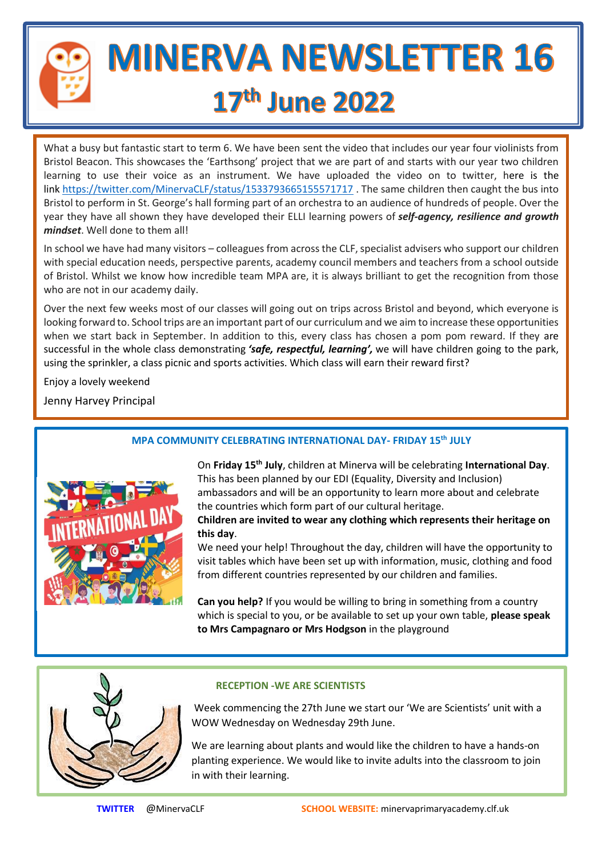

# **MINERVA NEWSLETTER 16** 17th June 2022

What a busy but fantastic start to term 6. We have been sent the video that includes our year four violinists from Bristol Beacon. This showcases the 'Earthsong' project that we are part of and starts with our year two children learning to use their voice as an instrument. We have uploaded the video on to twitter, here is the link <https://twitter.com/MinervaCLF/status/1533793665155571717>. The same children then caught the bus into Bristol to perform in St. George's hall forming part of an orchestra to an audience of hundreds of people. Over the year they have all shown they have developed their ELLI learning powers of *self-agency, resilience and growth mindset*. Well done to them all!

In school we have had many visitors – colleagues from across the CLF, specialist advisers who support our children with special education needs, perspective parents, academy council members and teachers from a school outside of Bristol. Whilst we know how incredible team MPA are, it is always brilliant to get the recognition from those who are not in our academy daily.

Over the next few weeks most of our classes will going out on trips across Bristol and beyond, which everyone is looking forward to. School trips are an important part of our curriculum and we aim to increase these opportunities when we start back in September. In addition to this, every class has chosen a pom pom reward. If they are successful in the whole class demonstrating *'safe, respectful, learning',* we will have children going to the park, using the sprinkler, a class picnic and sports activities. Which class will earn their reward first?

Enjoy a lovely weekend

Jenny Harvey Principal



# **MPA COMMUNITY CELEBRATING INTERNATIONAL DAY- FRIDAY 15th JULY**

On **Friday 15th July**, children at Minerva will be celebrating **International Day**. This has been planned by our EDI (Equality, Diversity and Inclusion) ambassadors and will be an opportunity to learn more about and celebrate the countries which form part of our cultural heritage.

**Children are invited to wear any clothing which represents their heritage on this day**.

We need your help! Throughout the day, children will have the opportunity to visit tables which have been set up with information, music, clothing and food from different countries represented by our children and families.

**Can you help?** If you would be willing to bring in something from a country which is special to you, or be available to set up your own table, **please speak to Mrs Campagnaro or Mrs Hodgson** in the playground



## **RECEPTION -WE ARE SCIENTISTS**

Week commencing the 27th June we start our 'We are Scientists' unit with a WOW Wednesday on Wednesday 29th June.

We are learning about plants and would like the children to have a hands-on planting experience. We would like to invite adults into the classroom to join in with their learning.